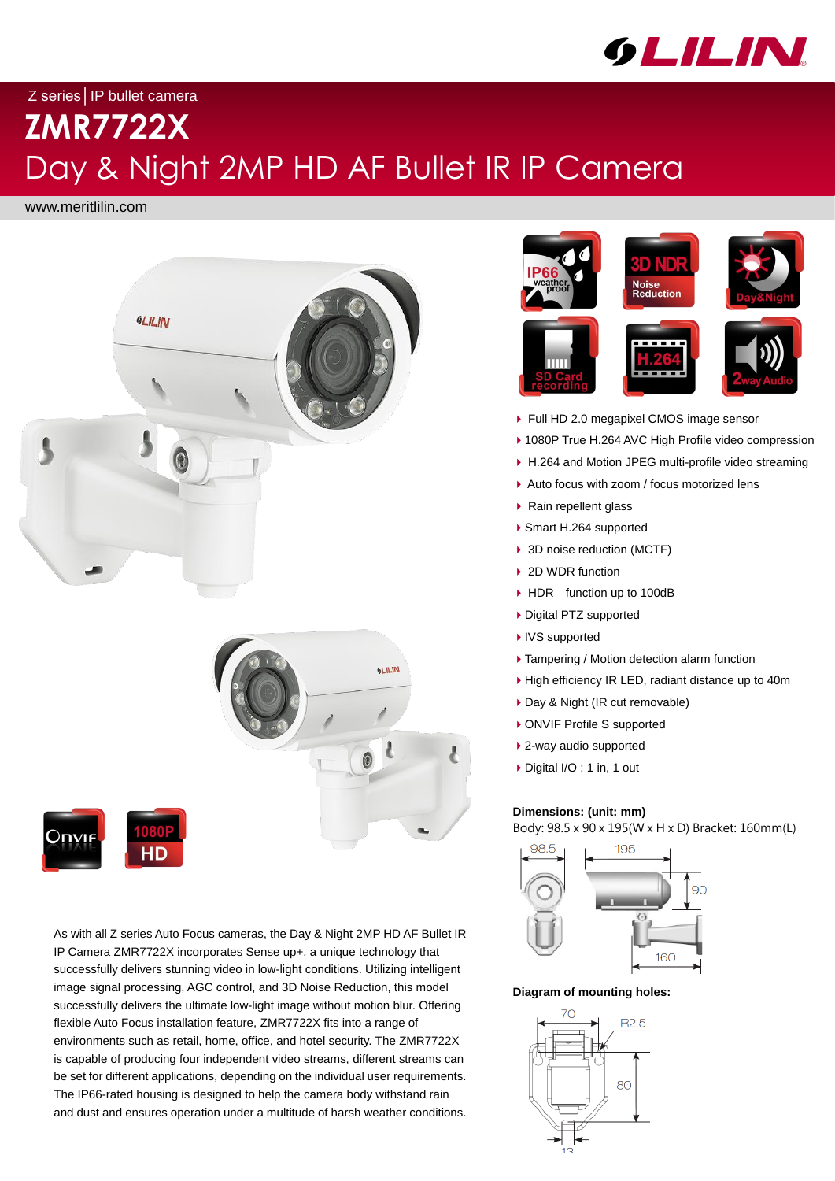

# Z series│IP bullet camera **ZMR7722X**

# Day & Night 2MP HD AF Bullet IR IP Camera

## **Dimensions: (unit: mm)**

Body: 98.5 x 90 x 195(W x H x D) Bracket: 160mm(L)



**Diagram of mounting holes:**



As with all Z series Auto Focus cameras, the Day & Night 2MP HD AF Bullet IR IP Camera ZMR7722X incorporates Sense up+, a unique technology that successfully delivers stunning video in low-light conditions. Utilizing intelligent image signal processing, AGC control, and 3D Noise Reduction, this model successfully delivers the ultimate low-light image without motion blur. Offering flexible Auto Focus installation feature, ZMR7722X fits into a range of environments such as retail, home, office, and hotel security. The ZMR7722X is capable of producing four independent video streams, different streams can be set for different applications, depending on the individual user requirements. The IP66-rated housing is designed to help the camera body withstand rain and dust and ensures operation under a multitude of harsh weather conditions.

www.meritlilin.com









- ▶ Full HD 2.0 megapixel CMOS image sensor
- ▶ 1080P True H.264 AVC High Profile video compression
- ▶ H.264 and Motion JPEG multi-profile video streaming
- ▶ Auto focus with zoom / focus motorized lens
- ▶ Rain repellent glass
- ▶ Smart H.264 supported
- ▶ 3D noise reduction (MCTF)
- ▶ 2D WDR function
- ▶ HDR function up to 100dB
- ▶ Digital PTZ supported
- ▶ IVS supported
- ▶ Tampering / Motion detection alarm function
- ▶ High efficiency IR LED, radiant distance up to 40m
- ▶ Day & Night (IR cut removable)
- ▶ ONVIF Profile S supported
- ▶ 2-way audio supported
- ▶ Digital I/O : 1 in, 1 out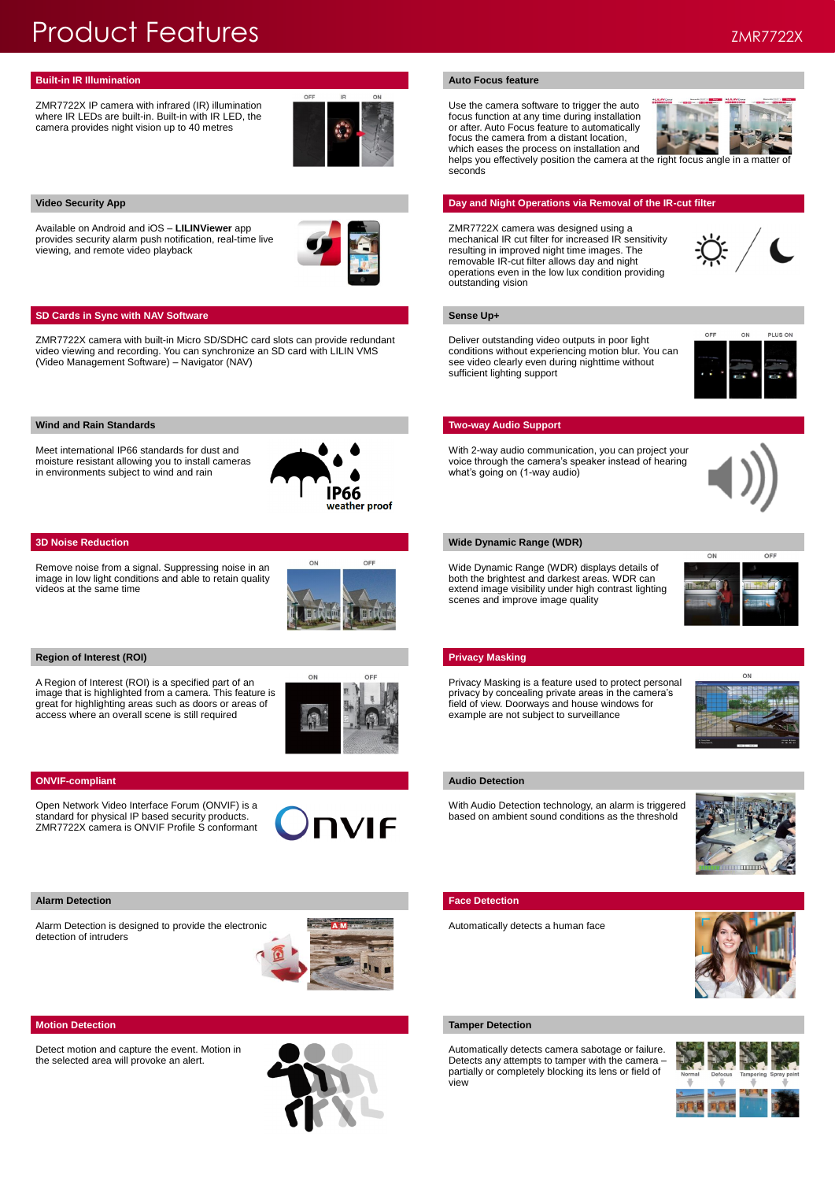ZMR7722X IP camera with infrared (IR) illumination where IR LEDs are built-in. Built-in with IR LED, the camera provides night vision up to 40 metres



Use the camera software to trigger the auto focus function at any time during installation or after. Auto Focus feature to automatically focus the camera from a distant location, which eases the process on installation and



helps you effectively position the camera at the right focus angle in a matter of seconds

## **Video Security App <b>Day and Night Operations via Removal of the IR-cut filter Day and Night Operations via Removal of the IR-cut filter**

Available on Android and iOS – **LILINViewer** app provides security alarm push notification, real-time live viewing, and remote video playback



## **SD Cards in Sync with NAV Software <b>Sense Up+ Sense Up+ Sense Up+**

ZMR7722X camera was designed using a mechanical IR cut filter for increased IR sensitivity resulting in improved night time images. The removable IR-cut filter allows day and night operations even in the low lux condition providing outstanding vision



ZMR7722X camera with built-in Micro SD/SDHC card slots can provide redundant video viewing and recording. You can synchronize an SD card with LILIN VMS (Video Management Software) – Navigator (NAV)

## **Wind and Rain Standards Two-way Audio Support** Number 2014 12:00 Number 2014 12:00 Number 2014 12:00 Number 2014

Deliver outstanding video outputs in poor light conditions without experiencing motion blur. You can see video clearly even during nighttime without sufficient lighting support



Meet international IP66 standards for dust and moisture resistant allowing you to install cameras in environments subject to wind and rain



With 2-way audio communication, you can project your voice through the camera's speaker instead of hearing what's going on (1-way audio)



## **3D Noise Reduction Wide Dynamic Range (WDR)**

Remove noise from a signal. Suppressing noise in an image in low light conditions and able to retain quality videos at the same time



### **Region of Interest (ROI) Privacy Masking**

Wide Dynamic Range (WDR) displays details of both the brightest and darkest areas. WDR can extend image visibility under high contrast lighting scenes and improve image quality



A Region of Interest (ROI) is a specified part of an image that is highlighted from a camera. This feature is great for highlighting areas such as doors or areas of access where an overall scene is still required



## **ONVIF-compliant** Audio Detection **Audio Detection**

Privacy Masking is a feature used to protect personal privacy by concealing private areas in the camera's field of view. Doorways and house windows for example are not subject to surveillance



Open Network Video Interface Forum (ONVIF) is a standard for physical IP based security products. ZMR7722X camera is ONVIF Profile S conformant



With Audio Detection technology, an alarm is triggered based on ambient sound conditions as the threshold



## **Alarm Detection Face Detection**

Alarm Detection is designed to provide the electronic detection of intruders



## Automatically detects a human face



Detect motion and capture the event. Motion in the selected area will provoke an alert.



## **Motion Detection Tamper Detection Tamper Detection**

Automatically detects camera sabotage or failure. Detects any attempts to tamper with the camera – partially or completely blocking its lens or field of view



## Product Features ZMR7722X

## **Built-in IR Illumination Auto Focus feature Auto Focus Auto Focus Auto Focus Auto Focus** *Auto Focus* **<b>***Auto Focus*